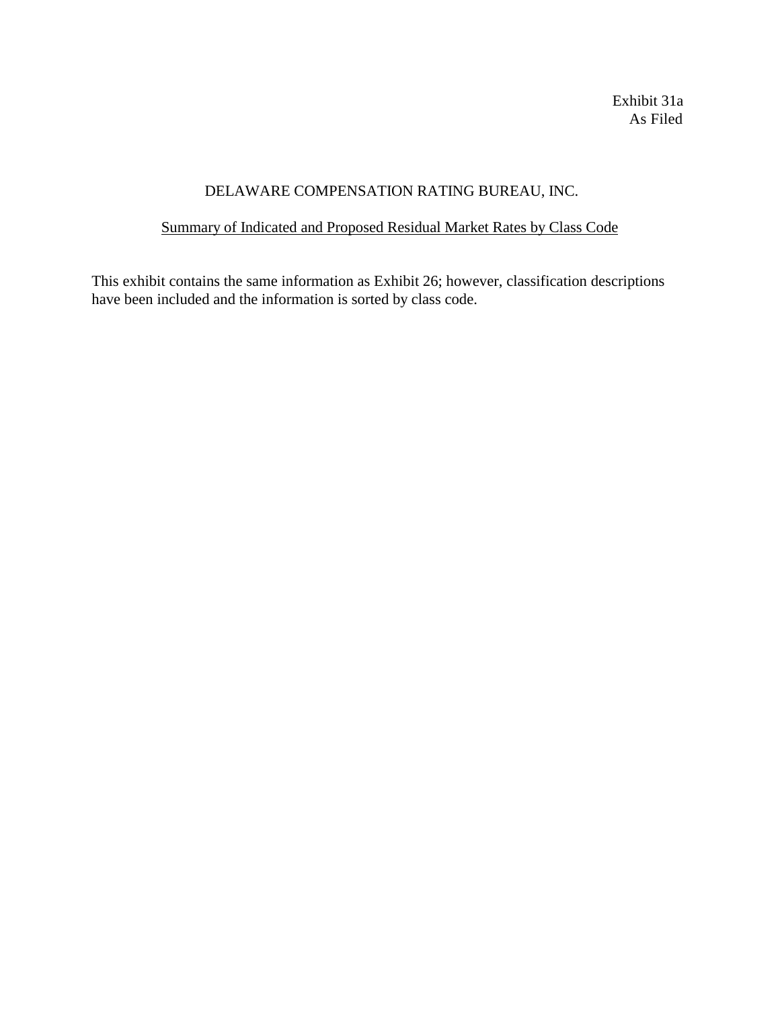Exhibit 31a As Filed

# DELAWARE COMPENSATION RATING BUREAU, INC.

# Summary of Indicated and Proposed Residual Market Rates by Class Code

This exhibit contains the same information as Exhibit 26; however, classification descriptions have been included and the information is sorted by class code.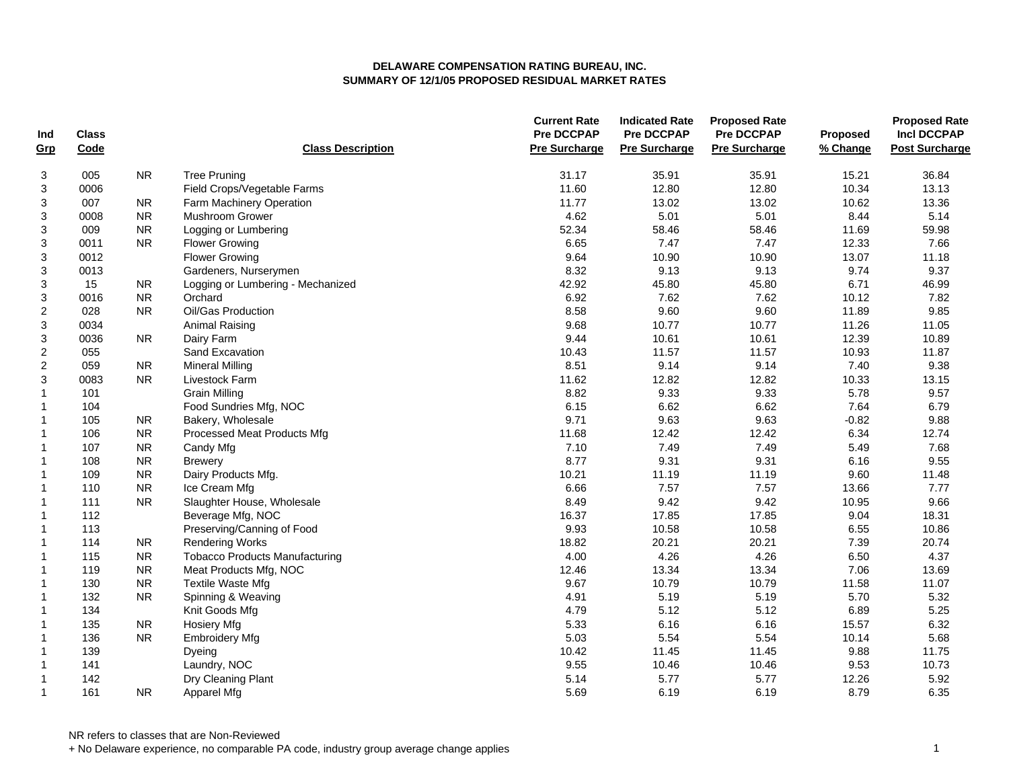| Ind<br>Grp       | <b>Class</b><br>Code |           | <b>Class Description</b>              | <b>Current Rate</b><br><b>Pre DCCPAP</b><br><b>Pre Surcharge</b> | <b>Indicated Rate</b><br><b>Pre DCCPAP</b><br><b>Pre Surcharge</b> | <b>Proposed Rate</b><br><b>Pre DCCPAP</b><br><b>Pre Surcharge</b> | Proposed<br>% Change | <b>Proposed Rate</b><br><b>Incl DCCPAP</b><br><b>Post Surcharge</b> |
|------------------|----------------------|-----------|---------------------------------------|------------------------------------------------------------------|--------------------------------------------------------------------|-------------------------------------------------------------------|----------------------|---------------------------------------------------------------------|
| 3                | 005                  | <b>NR</b> | <b>Tree Pruning</b>                   | 31.17                                                            | 35.91                                                              | 35.91                                                             | 15.21                | 36.84                                                               |
| 3                | 0006                 |           | Field Crops/Vegetable Farms           | 11.60                                                            | 12.80                                                              | 12.80                                                             | 10.34                | 13.13                                                               |
| 3                | 007                  | <b>NR</b> | Farm Machinery Operation              | 11.77                                                            | 13.02                                                              | 13.02                                                             | 10.62                | 13.36                                                               |
| 3                | 0008                 | <b>NR</b> | Mushroom Grower                       | 4.62                                                             | 5.01                                                               | 5.01                                                              | 8.44                 | 5.14                                                                |
| 3                | 009                  | <b>NR</b> | Logging or Lumbering                  | 52.34                                                            | 58.46                                                              | 58.46                                                             | 11.69                | 59.98                                                               |
| 3                | 0011                 | <b>NR</b> | <b>Flower Growing</b>                 | 6.65                                                             | 7.47                                                               | 7.47                                                              | 12.33                | 7.66                                                                |
| 3                | 0012                 |           | <b>Flower Growing</b>                 | 9.64                                                             | 10.90                                                              | 10.90                                                             | 13.07                | 11.18                                                               |
| 3                | 0013                 |           | Gardeners, Nurserymen                 | 8.32                                                             | 9.13                                                               | 9.13                                                              | 9.74                 | 9.37                                                                |
| 3                | 15                   | <b>NR</b> | Logging or Lumbering - Mechanized     | 42.92                                                            | 45.80                                                              | 45.80                                                             | 6.71                 | 46.99                                                               |
| 3                | 0016                 | <b>NR</b> | Orchard                               | 6.92                                                             | 7.62                                                               | 7.62                                                              | 10.12                | 7.82                                                                |
| $\boldsymbol{2}$ | 028                  | <b>NR</b> | Oil/Gas Production                    | 8.58                                                             | 9.60                                                               | 9.60                                                              | 11.89                | 9.85                                                                |
| 3                | 0034                 |           | Animal Raising                        | 9.68                                                             | 10.77                                                              | 10.77                                                             | 11.26                | 11.05                                                               |
| 3                | 0036                 | <b>NR</b> | Dairy Farm                            | 9.44                                                             | 10.61                                                              | 10.61                                                             | 12.39                | 10.89                                                               |
| $\boldsymbol{2}$ | 055                  |           | Sand Excavation                       | 10.43                                                            | 11.57                                                              | 11.57                                                             | 10.93                | 11.87                                                               |
| $\boldsymbol{2}$ | 059                  | <b>NR</b> | <b>Mineral Milling</b>                | 8.51                                                             | 9.14                                                               | 9.14                                                              | 7.40                 | 9.38                                                                |
| 3                | 0083                 | <b>NR</b> | Livestock Farm                        | 11.62                                                            | 12.82                                                              | 12.82                                                             | 10.33                | 13.15                                                               |
| $\mathbf{1}$     | 101                  |           | <b>Grain Milling</b>                  | 8.82                                                             | 9.33                                                               | 9.33                                                              | 5.78                 | 9.57                                                                |
| $\mathbf{1}$     | 104                  |           | Food Sundries Mfg, NOC                | 6.15                                                             | 6.62                                                               | 6.62                                                              | 7.64                 | 6.79                                                                |
| $\mathbf 1$      | 105                  | NR.       | Bakery, Wholesale                     | 9.71                                                             | 9.63                                                               | 9.63                                                              | $-0.82$              | 9.88                                                                |
| $\mathbf 1$      | 106                  | <b>NR</b> | Processed Meat Products Mfg           | 11.68                                                            | 12.42                                                              | 12.42                                                             | 6.34                 | 12.74                                                               |
| $\mathbf{1}$     | 107                  | <b>NR</b> | Candy Mfg                             | 7.10                                                             | 7.49                                                               | 7.49                                                              | 5.49                 | 7.68                                                                |
|                  | 108                  | <b>NR</b> | <b>Brewery</b>                        | 8.77                                                             | 9.31                                                               | 9.31                                                              | 6.16                 | 9.55                                                                |
| 1<br>$\mathbf 1$ | 109                  | <b>NR</b> | Dairy Products Mfg.                   | 10.21                                                            | 11.19                                                              | 11.19                                                             | 9.60                 | 11.48                                                               |
| $\mathbf 1$      | 110                  | <b>NR</b> | Ice Cream Mfg                         | 6.66                                                             | 7.57                                                               | 7.57                                                              | 13.66                | 7.77                                                                |
| $\mathbf 1$      | 111                  | <b>NR</b> |                                       | 8.49                                                             | 9.42                                                               | 9.42                                                              |                      | 9.66                                                                |
|                  | 112                  |           | Slaughter House, Wholesale            | 16.37                                                            | 17.85                                                              | 17.85                                                             | 10.95<br>9.04        | 18.31                                                               |
| $\mathbf 1$      | 113                  |           | Beverage Mfg, NOC                     |                                                                  |                                                                    |                                                                   |                      |                                                                     |
| $\mathbf 1$      | 114                  | <b>NR</b> | Preserving/Canning of Food            | 9.93<br>18.82                                                    | 10.58<br>20.21                                                     | 10.58<br>20.21                                                    | 6.55<br>7.39         | 10.86<br>20.74                                                      |
| $\mathbf 1$      |                      | <b>NR</b> | <b>Rendering Works</b>                | 4.00                                                             |                                                                    | 4.26                                                              |                      | 4.37                                                                |
| $\mathbf{1}$     | 115<br>119           |           | <b>Tobacco Products Manufacturing</b> |                                                                  | 4.26<br>13.34                                                      | 13.34                                                             | 6.50                 |                                                                     |
| $\mathbf 1$      |                      | <b>NR</b> | Meat Products Mfg, NOC                | 12.46                                                            |                                                                    |                                                                   | 7.06                 | 13.69                                                               |
| $\mathbf{1}$     | 130                  | <b>NR</b> | <b>Textile Waste Mfg</b>              | 9.67                                                             | 10.79                                                              | 10.79                                                             | 11.58                | 11.07                                                               |
| $\mathbf{1}$     | 132                  | <b>NR</b> | Spinning & Weaving                    | 4.91                                                             | 5.19                                                               | 5.19                                                              | 5.70                 | 5.32                                                                |
| $\mathbf 1$      | 134                  |           | Knit Goods Mfg                        | 4.79                                                             | 5.12                                                               | 5.12                                                              | 6.89                 | 5.25                                                                |
| $\mathbf 1$      | 135                  | <b>NR</b> | <b>Hosiery Mfg</b>                    | 5.33                                                             | 6.16                                                               | 6.16                                                              | 15.57                | 6.32                                                                |
| $\mathbf 1$      | 136                  | <b>NR</b> | <b>Embroidery Mfg</b>                 | 5.03                                                             | 5.54                                                               | 5.54                                                              | 10.14                | 5.68                                                                |
| $\mathbf{1}$     | 139                  |           | Dyeing                                | 10.42                                                            | 11.45                                                              | 11.45                                                             | 9.88                 | 11.75                                                               |
| $\mathbf{1}$     | 141                  |           | Laundry, NOC                          | 9.55                                                             | 10.46                                                              | 10.46                                                             | 9.53                 | 10.73                                                               |
| $\mathbf{1}$     | 142                  |           | Dry Cleaning Plant                    | 5.14                                                             | 5.77                                                               | 5.77                                                              | 12.26                | 5.92                                                                |
| $\mathbf{1}$     | 161                  | <b>NR</b> | Apparel Mfg                           | 5.69                                                             | 6.19                                                               | 6.19                                                              | 8.79                 | 6.35                                                                |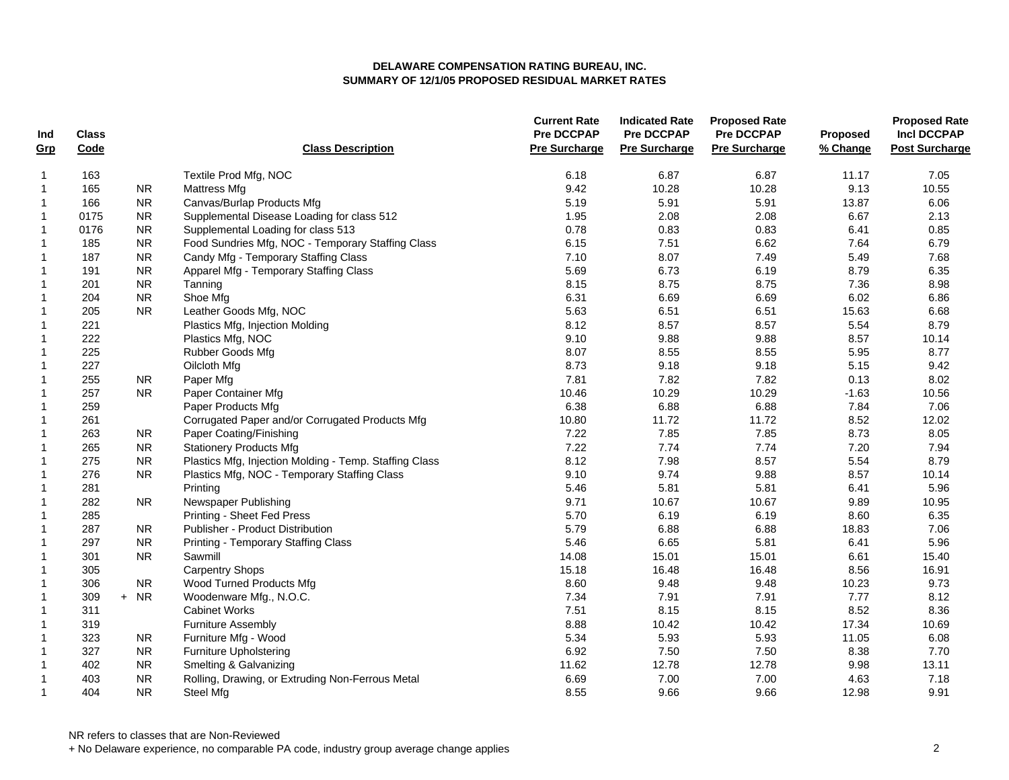| Ind          | <b>Class</b> |            |                                                        | <b>Current Rate</b><br><b>Pre DCCPAP</b> | <b>Indicated Rate</b><br><b>Pre DCCPAP</b> | <b>Proposed Rate</b><br>Pre DCCPAP | Proposed | <b>Proposed Rate</b><br><b>Incl DCCPAP</b> |
|--------------|--------------|------------|--------------------------------------------------------|------------------------------------------|--------------------------------------------|------------------------------------|----------|--------------------------------------------|
| Grp          | Code         |            | <b>Class Description</b>                               | <b>Pre Surcharge</b>                     | <b>Pre Surcharge</b>                       | <b>Pre Surcharge</b>               | % Change | <b>Post Surcharge</b>                      |
| $\mathbf{1}$ | 163          |            | Textile Prod Mfg, NOC                                  | 6.18                                     | 6.87                                       | 6.87                               | 11.17    | 7.05                                       |
| $\mathbf{1}$ | 165          | <b>NR</b>  | <b>Mattress Mfg</b>                                    | 9.42                                     | 10.28                                      | 10.28                              | 9.13     | 10.55                                      |
| $\mathbf{1}$ | 166          | <b>NR</b>  | Canvas/Burlap Products Mfg                             | 5.19                                     | 5.91                                       | 5.91                               | 13.87    | 6.06                                       |
| $\mathbf{1}$ | 0175         | <b>NR</b>  | Supplemental Disease Loading for class 512             | 1.95                                     | 2.08                                       | 2.08                               | 6.67     | 2.13                                       |
| $\mathbf{1}$ | 0176         | <b>NR</b>  | Supplemental Loading for class 513                     | 0.78                                     | 0.83                                       | 0.83                               | 6.41     | 0.85                                       |
| $\mathbf{1}$ | 185          | ${\sf NR}$ | Food Sundries Mfg, NOC - Temporary Staffing Class      | 6.15                                     | 7.51                                       | 6.62                               | 7.64     | 6.79                                       |
| $\mathbf 1$  | 187          | <b>NR</b>  | Candy Mfg - Temporary Staffing Class                   | 7.10                                     | 8.07                                       | 7.49                               | 5.49     | 7.68                                       |
| $\mathbf{1}$ | 191          | <b>NR</b>  | Apparel Mfg - Temporary Staffing Class                 | 5.69                                     | 6.73                                       | 6.19                               | 8.79     | 6.35                                       |
| $\mathbf{1}$ | 201          | NR         | Tanning                                                | 8.15                                     | 8.75                                       | 8.75                               | 7.36     | 8.98                                       |
| $\mathbf{1}$ | 204          | <b>NR</b>  | Shoe Mfg                                               | 6.31                                     | 6.69                                       | 6.69                               | 6.02     | 6.86                                       |
| $\mathbf{1}$ | 205          | NR.        | Leather Goods Mfg, NOC                                 | 5.63                                     | 6.51                                       | 6.51                               | 15.63    | 6.68                                       |
| $\mathbf{1}$ | 221          |            | Plastics Mfg, Injection Molding                        | 8.12                                     | 8.57                                       | 8.57                               | 5.54     | 8.79                                       |
| $\mathbf{1}$ | 222          |            | Plastics Mfg, NOC                                      | 9.10                                     | 9.88                                       | 9.88                               | 8.57     | 10.14                                      |
| $\mathbf{1}$ | 225          |            | Rubber Goods Mfg                                       | 8.07                                     | 8.55                                       | 8.55                               | 5.95     | 8.77                                       |
| $\mathbf 1$  | 227          |            | Oilcloth Mfg                                           | 8.73                                     | 9.18                                       | 9.18                               | 5.15     | 9.42                                       |
| $\mathbf{1}$ | 255          | <b>NR</b>  | Paper Mfg                                              | 7.81                                     | 7.82                                       | 7.82                               | 0.13     | 8.02                                       |
| $\mathbf{1}$ | 257          | <b>NR</b>  | Paper Container Mfg                                    | 10.46                                    | 10.29                                      | 10.29                              | $-1.63$  | 10.56                                      |
| $\mathbf{1}$ | 259          |            | Paper Products Mfg                                     | 6.38                                     | 6.88                                       | 6.88                               | 7.84     | 7.06                                       |
| $\mathbf{1}$ | 261          |            | Corrugated Paper and/or Corrugated Products Mfg        | 10.80                                    | 11.72                                      | 11.72                              | 8.52     | 12.02                                      |
| $\mathbf{1}$ | 263          | <b>NR</b>  | Paper Coating/Finishing                                | 7.22                                     | 7.85                                       | 7.85                               | 8.73     | 8.05                                       |
| $\mathbf{1}$ | 265          | <b>NR</b>  | <b>Stationery Products Mfg</b>                         | 7.22                                     | 7.74                                       | 7.74                               | 7.20     | 7.94                                       |
| $\mathbf{1}$ | 275          | ${\sf NR}$ | Plastics Mfg, Injection Molding - Temp. Staffing Class | 8.12                                     | 7.98                                       | 8.57                               | 5.54     | 8.79                                       |
| $\mathbf{1}$ | 276          | <b>NR</b>  | Plastics Mfg, NOC - Temporary Staffing Class           | 9.10                                     | 9.74                                       | 9.88                               | 8.57     | 10.14                                      |
| $\mathbf{1}$ | 281          |            | Printing                                               | 5.46                                     | 5.81                                       | 5.81                               | 6.41     | 5.96                                       |
| $\mathbf{1}$ | 282          | <b>NR</b>  | Newspaper Publishing                                   | 9.71                                     | 10.67                                      | 10.67                              | 9.89     | 10.95                                      |
| 1            | 285          |            | Printing - Sheet Fed Press                             | 5.70                                     | 6.19                                       | 6.19                               | 8.60     | 6.35                                       |
| $\mathbf{1}$ | 287          | <b>NR</b>  | Publisher - Product Distribution                       | 5.79                                     | 6.88                                       | 6.88                               | 18.83    | 7.06                                       |
| $\mathbf{1}$ | 297          | <b>NR</b>  | <b>Printing - Temporary Staffing Class</b>             | 5.46                                     | 6.65                                       | 5.81                               | 6.41     | 5.96                                       |
| $\mathbf{1}$ | 301          | <b>NR</b>  | Sawmill                                                | 14.08                                    | 15.01                                      | 15.01                              | 6.61     | 15.40                                      |
| $\mathbf{1}$ | 305          |            | <b>Carpentry Shops</b>                                 | 15.18                                    | 16.48                                      | 16.48                              | 8.56     | 16.91                                      |
| $\mathbf{1}$ | 306          | ${\sf NR}$ | Wood Turned Products Mfg                               | 8.60                                     | 9.48                                       | 9.48                               | 10.23    | 9.73                                       |
| $\mathbf 1$  | 309          | $+ NR$     | Woodenware Mfg., N.O.C.                                | 7.34                                     | 7.91                                       | 7.91                               | 7.77     | 8.12                                       |
| $\mathbf{1}$ | 311          |            | <b>Cabinet Works</b>                                   | 7.51                                     | 8.15                                       | 8.15                               | 8.52     | 8.36                                       |
| $\mathbf 1$  | 319          |            | <b>Furniture Assembly</b>                              | 8.88                                     | 10.42                                      | 10.42                              | 17.34    | 10.69                                      |
| $\mathbf{1}$ | 323          | <b>NR</b>  | Furniture Mfg - Wood                                   | 5.34                                     | 5.93                                       | 5.93                               | 11.05    | 6.08                                       |
| $\mathbf{1}$ | 327          | <b>NR</b>  | <b>Furniture Upholstering</b>                          | 6.92                                     | 7.50                                       | 7.50                               | 8.38     | 7.70                                       |
| $\mathbf{1}$ | 402          | <b>NR</b>  | Smelting & Galvanizing                                 | 11.62                                    | 12.78                                      | 12.78                              | 9.98     | 13.11                                      |
| $\mathbf 1$  | 403          | ${\sf NR}$ | Rolling, Drawing, or Extruding Non-Ferrous Metal       | 6.69                                     | 7.00                                       | 7.00                               | 4.63     | 7.18                                       |
| $\mathbf{1}$ | 404          | <b>NR</b>  | Steel Mfg                                              | 8.55                                     | 9.66                                       | 9.66                               | 12.98    | 9.91                                       |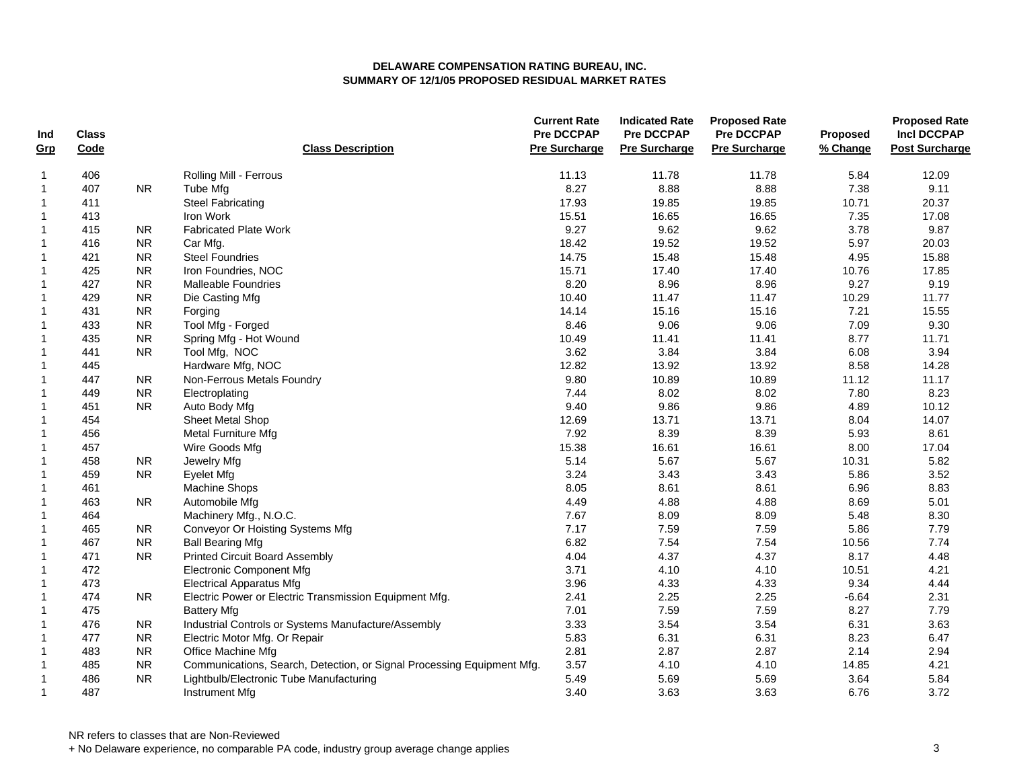| Ind          | <b>Class</b> |           |                                                                        | <b>Current Rate</b><br><b>Pre DCCPAP</b> | <b>Indicated Rate</b><br><b>Pre DCCPAP</b> | <b>Proposed Rate</b><br><b>Pre DCCPAP</b> | Proposed | <b>Proposed Rate</b><br><b>Incl DCCPAP</b> |
|--------------|--------------|-----------|------------------------------------------------------------------------|------------------------------------------|--------------------------------------------|-------------------------------------------|----------|--------------------------------------------|
| Grp          | Code         |           | <b>Class Description</b>                                               | <b>Pre Surcharge</b>                     | <b>Pre Surcharge</b>                       | <b>Pre Surcharge</b>                      | % Change | <b>Post Surcharge</b>                      |
| 1            | 406          |           | Rolling Mill - Ferrous                                                 | 11.13                                    | 11.78                                      | 11.78                                     | 5.84     | 12.09                                      |
| $\mathbf{1}$ | 407          | NR.       | Tube Mfg                                                               | 8.27                                     | 8.88                                       | 8.88                                      | 7.38     | 9.11                                       |
| $\mathbf 1$  | 411          |           | <b>Steel Fabricating</b>                                               | 17.93                                    | 19.85                                      | 19.85                                     | 10.71    | 20.37                                      |
| $\mathbf{1}$ | 413          |           | Iron Work                                                              | 15.51                                    | 16.65                                      | 16.65                                     | 7.35     | 17.08                                      |
| 1            | 415          | <b>NR</b> | <b>Fabricated Plate Work</b>                                           | 9.27                                     | 9.62                                       | 9.62                                      | 3.78     | 9.87                                       |
| $\mathbf 1$  | 416          | <b>NR</b> | Car Mfg.                                                               | 18.42                                    | 19.52                                      | 19.52                                     | 5.97     | 20.03                                      |
| $\mathbf{1}$ | 421          | <b>NR</b> | <b>Steel Foundries</b>                                                 | 14.75                                    | 15.48                                      | 15.48                                     | 4.95     | 15.88                                      |
| $\mathbf{1}$ | 425          | <b>NR</b> | Iron Foundries, NOC                                                    | 15.71                                    | 17.40                                      | 17.40                                     | 10.76    | 17.85                                      |
| $\mathbf{1}$ | 427          | <b>NR</b> | <b>Malleable Foundries</b>                                             | 8.20                                     | 8.96                                       | 8.96                                      | 9.27     | 9.19                                       |
| $\mathbf 1$  | 429          | <b>NR</b> | Die Casting Mfg                                                        | 10.40                                    | 11.47                                      | 11.47                                     | 10.29    | 11.77                                      |
| $\mathbf{1}$ | 431          | <b>NR</b> | Forging                                                                | 14.14                                    | 15.16                                      | 15.16                                     | 7.21     | 15.55                                      |
| 1            | 433          | <b>NR</b> | Tool Mfg - Forged                                                      | 8.46                                     | 9.06                                       | 9.06                                      | 7.09     | 9.30                                       |
| $\mathbf{1}$ | 435          | <b>NR</b> | Spring Mfg - Hot Wound                                                 | 10.49                                    | 11.41                                      | 11.41                                     | 8.77     | 11.71                                      |
| $\mathbf{1}$ | 441          | <b>NR</b> | Tool Mfg, NOC                                                          | 3.62                                     | 3.84                                       | 3.84                                      | 6.08     | 3.94                                       |
| $\mathbf{1}$ | 445          |           | Hardware Mfg, NOC                                                      | 12.82                                    | 13.92                                      | 13.92                                     | 8.58     | 14.28                                      |
| $\mathbf 1$  | 447          | <b>NR</b> | Non-Ferrous Metals Foundry                                             | 9.80                                     | 10.89                                      | 10.89                                     | 11.12    | 11.17                                      |
| $\mathbf{1}$ | 449          | <b>NR</b> | Electroplating                                                         | 7.44                                     | 8.02                                       | 8.02                                      | 7.80     | 8.23                                       |
| 1            | 451          | <b>NR</b> | Auto Body Mfg                                                          | 9.40                                     | 9.86                                       | 9.86                                      | 4.89     | 10.12                                      |
| $\mathbf{1}$ | 454          |           | Sheet Metal Shop                                                       | 12.69                                    | 13.71                                      | 13.71                                     | 8.04     | 14.07                                      |
| $\mathbf 1$  | 456          |           | Metal Furniture Mfg                                                    | 7.92                                     | 8.39                                       | 8.39                                      | 5.93     | 8.61                                       |
| $\mathbf{1}$ | 457          |           | Wire Goods Mfg                                                         | 15.38                                    | 16.61                                      | 16.61                                     | 8.00     | 17.04                                      |
| $\mathbf{1}$ | 458          | NR.       | Jewelry Mfg                                                            | 5.14                                     | 5.67                                       | 5.67                                      | 10.31    | 5.82                                       |
| $\mathbf{1}$ | 459          | <b>NR</b> | <b>Eyelet Mfg</b>                                                      | 3.24                                     | 3.43                                       | 3.43                                      | 5.86     | 3.52                                       |
| $\mathbf 1$  | 461          |           | Machine Shops                                                          | 8.05                                     | 8.61                                       | 8.61                                      | 6.96     | 8.83                                       |
| $\mathbf{1}$ | 463          | <b>NR</b> | Automobile Mfg                                                         | 4.49                                     | 4.88                                       | 4.88                                      | 8.69     | 5.01                                       |
| $\mathbf{1}$ | 464          |           | Machinery Mfg., N.O.C.                                                 | 7.67                                     | 8.09                                       | 8.09                                      | 5.48     | 8.30                                       |
| $\mathbf 1$  | 465          | <b>NR</b> | Conveyor Or Hoisting Systems Mfg                                       | 7.17                                     | 7.59                                       | 7.59                                      | 5.86     | 7.79                                       |
| $\mathbf{1}$ | 467          | <b>NR</b> | <b>Ball Bearing Mfg</b>                                                | 6.82                                     | 7.54                                       | 7.54                                      | 10.56    | 7.74                                       |
| 1            | 471          | <b>NR</b> | <b>Printed Circuit Board Assembly</b>                                  | 4.04                                     | 4.37                                       | 4.37                                      | 8.17     | 4.48                                       |
| $\mathbf 1$  | 472          |           | <b>Electronic Component Mfg</b>                                        | 3.71                                     | 4.10                                       | 4.10                                      | 10.51    | 4.21                                       |
| $\mathbf 1$  | 473          |           | <b>Electrical Apparatus Mfg</b>                                        | 3.96                                     | 4.33                                       | 4.33                                      | 9.34     | 4.44                                       |
| $\mathbf 1$  | 474          | <b>NR</b> | Electric Power or Electric Transmission Equipment Mfg.                 | 2.41                                     | 2.25                                       | 2.25                                      | $-6.64$  | 2.31                                       |
| 1            | 475          |           | <b>Battery Mfg</b>                                                     | 7.01                                     | 7.59                                       | 7.59                                      | 8.27     | 7.79                                       |
| $\mathbf{1}$ | 476          | <b>NR</b> | Industrial Controls or Systems Manufacture/Assembly                    | 3.33                                     | 3.54                                       | 3.54                                      | 6.31     | 3.63                                       |
| $\mathbf{1}$ | 477          | <b>NR</b> | Electric Motor Mfg. Or Repair                                          | 5.83                                     | 6.31                                       | 6.31                                      | 8.23     | 6.47                                       |
| $\mathbf{1}$ | 483          | <b>NR</b> | Office Machine Mfg                                                     | 2.81                                     | 2.87                                       | 2.87                                      | 2.14     | 2.94                                       |
| $\mathbf{1}$ | 485          | <b>NR</b> | Communications, Search, Detection, or Signal Processing Equipment Mfg. | 3.57                                     | 4.10                                       | 4.10                                      | 14.85    | 4.21                                       |
| $\mathbf{1}$ | 486          | <b>NR</b> | Lightbulb/Electronic Tube Manufacturing                                | 5.49                                     | 5.69                                       | 5.69                                      | 3.64     | 5.84                                       |
| $\mathbf{1}$ | 487          |           | <b>Instrument Mfg</b>                                                  | 3.40                                     | 3.63                                       | 3.63                                      | 6.76     | 3.72                                       |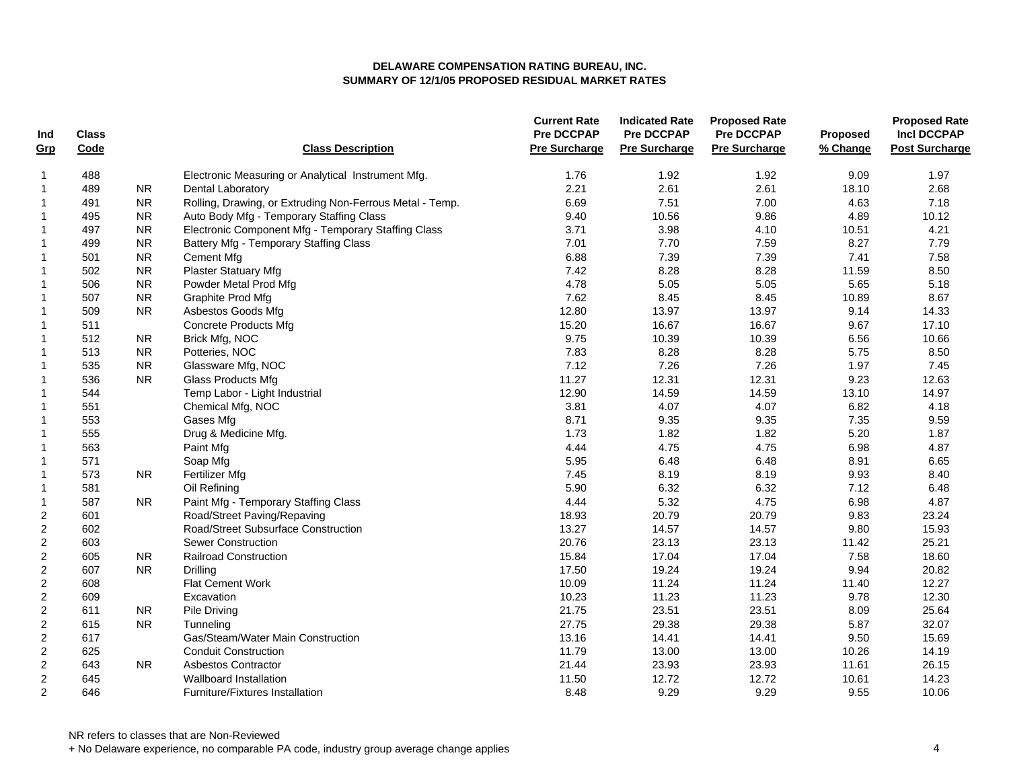| Ind                     | <b>Class</b> |            |                                                          | <b>Current Rate</b><br><b>Pre DCCPAP</b> | <b>Indicated Rate</b><br><b>Pre DCCPAP</b> | <b>Proposed Rate</b><br><b>Pre DCCPAP</b> | Proposed | <b>Proposed Rate</b><br><b>Incl DCCPAP</b> |
|-------------------------|--------------|------------|----------------------------------------------------------|------------------------------------------|--------------------------------------------|-------------------------------------------|----------|--------------------------------------------|
| Grp                     | Code         |            | <b>Class Description</b>                                 | <b>Pre Surcharge</b>                     | <b>Pre Surcharge</b>                       | <b>Pre Surcharge</b>                      | % Change | <b>Post Surcharge</b>                      |
| 1                       | 488          |            | Electronic Measuring or Analytical Instrument Mfg.       | 1.76                                     | 1.92                                       | 1.92                                      | 9.09     | 1.97                                       |
| $\mathbf{1}$            | 489          | ${\sf NR}$ | Dental Laboratory                                        | 2.21                                     | 2.61                                       | 2.61                                      | 18.10    | 2.68                                       |
| $\mathbf 1$             | 491          | ${\sf NR}$ | Rolling, Drawing, or Extruding Non-Ferrous Metal - Temp. | 6.69                                     | 7.51                                       | 7.00                                      | 4.63     | 7.18                                       |
| $\mathbf{1}$            | 495          | <b>NR</b>  | Auto Body Mfg - Temporary Staffing Class                 | 9.40                                     | 10.56                                      | 9.86                                      | 4.89     | 10.12                                      |
| $\mathbf{1}$            | 497          | <b>NR</b>  | Electronic Component Mfg - Temporary Staffing Class      | 3.71                                     | 3.98                                       | 4.10                                      | 10.51    | 4.21                                       |
| $\mathbf 1$             | 499          | ${\sf NR}$ | Battery Mfg - Temporary Staffing Class                   | 7.01                                     | 7.70                                       | 7.59                                      | 8.27     | 7.79                                       |
| $\mathbf{1}$            | 501          | ${\sf NR}$ | <b>Cement Mfg</b>                                        | 6.88                                     | 7.39                                       | 7.39                                      | 7.41     | 7.58                                       |
| $\mathbf 1$             | 502          | <b>NR</b>  | <b>Plaster Statuary Mfg</b>                              | 7.42                                     | 8.28                                       | 8.28                                      | 11.59    | 8.50                                       |
| $\mathbf{1}$            | 506          | <b>NR</b>  | Powder Metal Prod Mfg                                    | 4.78                                     | 5.05                                       | 5.05                                      | 5.65     | 5.18                                       |
| 1                       | 507          | <b>NR</b>  | Graphite Prod Mfg                                        | 7.62                                     | 8.45                                       | 8.45                                      | 10.89    | 8.67                                       |
| 1                       | 509          | <b>NR</b>  | Asbestos Goods Mfg                                       | 12.80                                    | 13.97                                      | 13.97                                     | 9.14     | 14.33                                      |
| $\mathbf{1}$            | 511          |            | <b>Concrete Products Mfg</b>                             | 15.20                                    | 16.67                                      | 16.67                                     | 9.67     | 17.10                                      |
| 1                       | 512          | <b>NR</b>  | Brick Mfg, NOC                                           | 9.75                                     | 10.39                                      | 10.39                                     | 6.56     | 10.66                                      |
| 1                       | 513          | <b>NR</b>  | Potteries, NOC                                           | 7.83                                     | 8.28                                       | 8.28                                      | 5.75     | 8.50                                       |
| $\mathbf 1$             | 535          | ${\sf NR}$ | Glassware Mfg, NOC                                       | 7.12                                     | 7.26                                       | 7.26                                      | 1.97     | 7.45                                       |
| 1                       | 536          | <b>NR</b>  | <b>Glass Products Mfg</b>                                | 11.27                                    | 12.31                                      | 12.31                                     | 9.23     | 12.63                                      |
| $\mathbf 1$             | 544          |            | Temp Labor - Light Industrial                            | 12.90                                    | 14.59                                      | 14.59                                     | 13.10    | 14.97                                      |
| 1                       | 551          |            | Chemical Mfg, NOC                                        | 3.81                                     | 4.07                                       | 4.07                                      | 6.82     | 4.18                                       |
| $\mathbf{1}$            | 553          |            | Gases Mfg                                                | 8.71                                     | 9.35                                       | 9.35                                      | 7.35     | 9.59                                       |
| 1                       | 555          |            | Drug & Medicine Mfg.                                     | 1.73                                     | 1.82                                       | 1.82                                      | 5.20     | 1.87                                       |
| $\mathbf 1$             | 563          |            | Paint Mfg                                                | 4.44                                     | 4.75                                       | 4.75                                      | 6.98     | 4.87                                       |
| 1                       | 571          |            | Soap Mfg                                                 | 5.95                                     | 6.48                                       | 6.48                                      | 8.91     | 6.65                                       |
| $\mathbf{1}$            | 573          | <b>NR</b>  | <b>Fertilizer Mfg</b>                                    | 7.45                                     | 8.19                                       | 8.19                                      | 9.93     | 8.40                                       |
| $\mathbf{1}$            | 581          |            | Oil Refining                                             | 5.90                                     | 6.32                                       | 6.32                                      | 7.12     | 6.48                                       |
| $\mathbf 1$             | 587          | <b>NR</b>  | Paint Mfg - Temporary Staffing Class                     | 4.44                                     | 5.32                                       | 4.75                                      | 6.98     | 4.87                                       |
| $\sqrt{2}$              | 601          |            | Road/Street Paving/Repaving                              | 18.93                                    | 20.79                                      | 20.79                                     | 9.83     | 23.24                                      |
| $\overline{c}$          | 602          |            | Road/Street Subsurface Construction                      | 13.27                                    | 14.57                                      | 14.57                                     | 9.80     | 15.93                                      |
| $\sqrt{2}$              | 603          |            | <b>Sewer Construction</b>                                | 20.76                                    | 23.13                                      | 23.13                                     | 11.42    | 25.21                                      |
| $\overline{c}$          | 605          | <b>NR</b>  | <b>Railroad Construction</b>                             | 15.84                                    | 17.04                                      | 17.04                                     | 7.58     | 18.60                                      |
| $\boldsymbol{2}$        | 607          | <b>NR</b>  | Drilling                                                 | 17.50                                    | 19.24                                      | 19.24                                     | 9.94     | 20.82                                      |
| $\overline{c}$          | 608          |            | <b>Flat Cement Work</b>                                  | 10.09                                    | 11.24                                      | 11.24                                     | 11.40    | 12.27                                      |
| $\overline{2}$          | 609          |            | Excavation                                               | 10.23                                    | 11.23                                      | 11.23                                     | 9.78     | 12.30                                      |
| $\overline{\mathbf{c}}$ | 611          | <b>NR</b>  | Pile Driving                                             | 21.75                                    | 23.51                                      | 23.51                                     | 8.09     | 25.64                                      |
| $\overline{c}$          | 615          | <b>NR</b>  | Tunneling                                                | 27.75                                    | 29.38                                      | 29.38                                     | 5.87     | 32.07                                      |
| $\overline{c}$          | 617          |            | Gas/Steam/Water Main Construction                        | 13.16                                    | 14.41                                      | 14.41                                     | 9.50     | 15.69                                      |
| $\overline{\mathbf{c}}$ | 625          |            | <b>Conduit Construction</b>                              | 11.79                                    | 13.00                                      | 13.00                                     | 10.26    | 14.19                                      |
| $\overline{c}$          | 643          | NR.        | Asbestos Contractor                                      | 21.44                                    | 23.93                                      | 23.93                                     | 11.61    | 26.15                                      |
| $\boldsymbol{2}$        | 645          |            | Wallboard Installation                                   | 11.50                                    | 12.72                                      | 12.72                                     | 10.61    | 14.23                                      |
| $\overline{2}$          | 646          |            | <b>Furniture/Fixtures Installation</b>                   | 8.48                                     | 9.29                                       | 9.29                                      | 9.55     | 10.06                                      |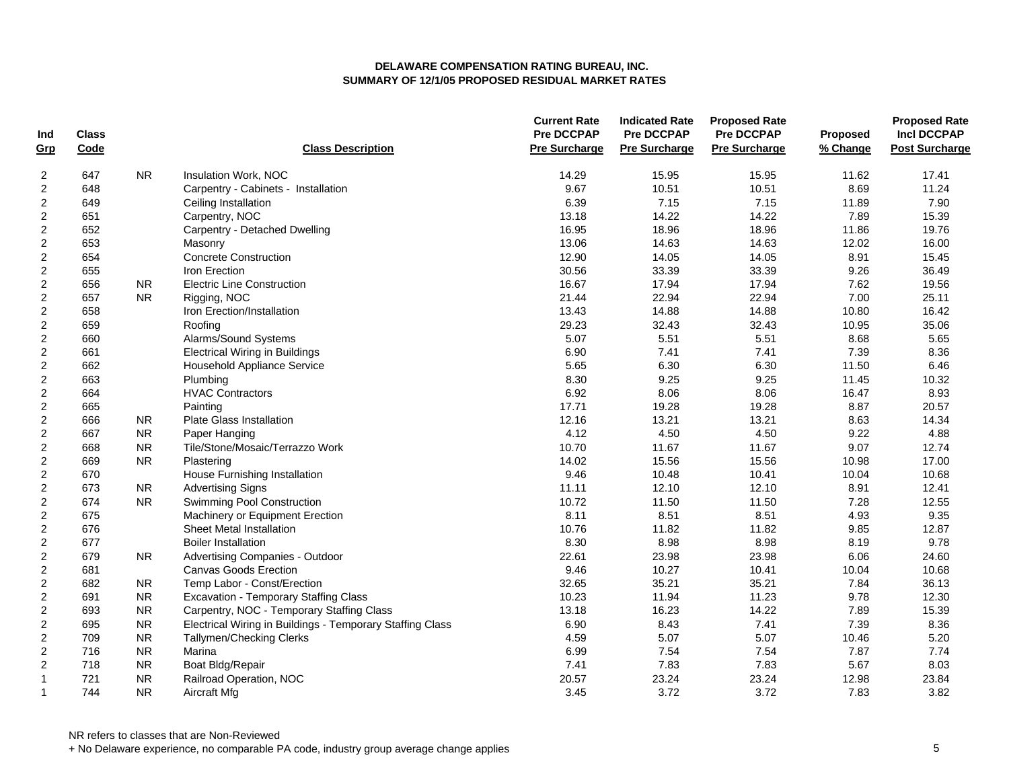| Ind                     | <b>Class</b> |            |                                                           | <b>Current Rate</b><br><b>Pre DCCPAP</b> | <b>Indicated Rate</b><br><b>Pre DCCPAP</b> | <b>Proposed Rate</b><br>Pre DCCPAP | Proposed | <b>Proposed Rate</b><br><b>Incl DCCPAP</b> |
|-------------------------|--------------|------------|-----------------------------------------------------------|------------------------------------------|--------------------------------------------|------------------------------------|----------|--------------------------------------------|
| Grp                     | Code         |            | <b>Class Description</b>                                  | <b>Pre Surcharge</b>                     | <b>Pre Surcharge</b>                       | <b>Pre Surcharge</b>               | % Change | <b>Post Surcharge</b>                      |
| 2                       | 647          | <b>NR</b>  | Insulation Work, NOC                                      | 14.29                                    | 15.95                                      | 15.95                              | 11.62    | 17.41                                      |
| $\overline{c}$          | 648          |            | Carpentry - Cabinets - Installation                       | 9.67                                     | 10.51                                      | 10.51                              | 8.69     | 11.24                                      |
| $\overline{\mathbf{c}}$ | 649          |            | Ceiling Installation                                      | 6.39                                     | 7.15                                       | 7.15                               | 11.89    | 7.90                                       |
| $\overline{c}$          | 651          |            | Carpentry, NOC                                            | 13.18                                    | 14.22                                      | 14.22                              | 7.89     | 15.39                                      |
| $\overline{c}$          | 652          |            | Carpentry - Detached Dwelling                             | 16.95                                    | 18.96                                      | 18.96                              | 11.86    | 19.76                                      |
| $\overline{c}$          | 653          |            | Masonry                                                   | 13.06                                    | 14.63                                      | 14.63                              | 12.02    | 16.00                                      |
| $\overline{c}$          | 654          |            | <b>Concrete Construction</b>                              | 12.90                                    | 14.05                                      | 14.05                              | 8.91     | 15.45                                      |
| $\overline{c}$          | 655          |            | Iron Erection                                             | 30.56                                    | 33.39                                      | 33.39                              | 9.26     | 36.49                                      |
| $\overline{c}$          | 656          | <b>NR</b>  | <b>Electric Line Construction</b>                         | 16.67                                    | 17.94                                      | 17.94                              | 7.62     | 19.56                                      |
| $\boldsymbol{2}$        | 657          | ${\sf NR}$ | Rigging, NOC                                              | 21.44                                    | 22.94                                      | 22.94                              | 7.00     | 25.11                                      |
| $\overline{\mathbf{c}}$ | 658          |            | Iron Erection/Installation                                | 13.43                                    | 14.88                                      | 14.88                              | 10.80    | 16.42                                      |
| $\mathbf 2$             | 659          |            | Roofing                                                   | 29.23                                    | 32.43                                      | 32.43                              | 10.95    | 35.06                                      |
| $\overline{c}$          | 660          |            | Alarms/Sound Systems                                      | 5.07                                     | 5.51                                       | 5.51                               | 8.68     | 5.65                                       |
| $\overline{c}$          | 661          |            | <b>Electrical Wiring in Buildings</b>                     | 6.90                                     | 7.41                                       | 7.41                               | 7.39     | 8.36                                       |
| $\overline{2}$          | 662          |            | Household Appliance Service                               | 5.65                                     | 6.30                                       | 6.30                               | 11.50    | 6.46                                       |
| $\overline{c}$          | 663          |            | Plumbing                                                  | 8.30                                     | 9.25                                       | 9.25                               | 11.45    | 10.32                                      |
| $\overline{c}$          | 664          |            | <b>HVAC Contractors</b>                                   | 6.92                                     | 8.06                                       | 8.06                               | 16.47    | 8.93                                       |
| $\overline{c}$          | 665          |            | Painting                                                  | 17.71                                    | 19.28                                      | 19.28                              | 8.87     | 20.57                                      |
| $\overline{2}$          | 666          | <b>NR</b>  | Plate Glass Installation                                  | 12.16                                    | 13.21                                      | 13.21                              | 8.63     | 14.34                                      |
| $\sqrt{2}$              | 667          | ${\sf NR}$ | Paper Hanging                                             | 4.12                                     | 4.50                                       | 4.50                               | 9.22     | 4.88                                       |
| $\overline{2}$          | 668          | ${\sf NR}$ | Tile/Stone/Mosaic/Terrazzo Work                           | 10.70                                    | 11.67                                      | 11.67                              | 9.07     | 12.74                                      |
| $\overline{\mathbf{c}}$ | 669          | <b>NR</b>  | Plastering                                                | 14.02                                    | 15.56                                      | 15.56                              | 10.98    | 17.00                                      |
| $\overline{c}$          | 670          |            | House Furnishing Installation                             | 9.46                                     | 10.48                                      | 10.41                              | 10.04    | 10.68                                      |
| $\overline{\mathbf{c}}$ | 673          | <b>NR</b>  | <b>Advertising Signs</b>                                  | 11.11                                    | 12.10                                      | 12.10                              | 8.91     | 12.41                                      |
| $\overline{\mathbf{c}}$ | 674          | <b>NR</b>  | Swimming Pool Construction                                | 10.72                                    | 11.50                                      | 11.50                              | 7.28     | 12.55                                      |
| $\overline{\mathbf{c}}$ | 675          |            | Machinery or Equipment Erection                           | 8.11                                     | 8.51                                       | 8.51                               | 4.93     | 9.35                                       |
| $\boldsymbol{2}$        | 676          |            | <b>Sheet Metal Installation</b>                           | 10.76                                    | 11.82                                      | 11.82                              | 9.85     | 12.87                                      |
| $\overline{\mathbf{c}}$ | 677          |            | <b>Boiler Installation</b>                                | 8.30                                     | 8.98                                       | 8.98                               | 8.19     | 9.78                                       |
| $\overline{c}$          | 679          | NR.        | Advertising Companies - Outdoor                           | 22.61                                    | 23.98                                      | 23.98                              | 6.06     | 24.60                                      |
| $\overline{c}$          | 681          |            | <b>Canvas Goods Erection</b>                              | 9.46                                     | 10.27                                      | 10.41                              | 10.04    | 10.68                                      |
| $\overline{c}$          | 682          | <b>NR</b>  | Temp Labor - Const/Erection                               | 32.65                                    | 35.21                                      | 35.21                              | 7.84     | 36.13                                      |
| $\overline{2}$          | 691          | <b>NR</b>  | <b>Excavation - Temporary Staffing Class</b>              | 10.23                                    | 11.94                                      | 11.23                              | 9.78     | 12.30                                      |
| $\overline{\mathbf{c}}$ | 693          | <b>NR</b>  | Carpentry, NOC - Temporary Staffing Class                 | 13.18                                    | 16.23                                      | 14.22                              | 7.89     | 15.39                                      |
| $\overline{c}$          | 695          | ${\sf NR}$ | Electrical Wiring in Buildings - Temporary Staffing Class | 6.90                                     | 8.43                                       | 7.41                               | 7.39     | 8.36                                       |
| $\overline{c}$          | 709          | <b>NR</b>  | Tallymen/Checking Clerks                                  | 4.59                                     | 5.07                                       | 5.07                               | 10.46    | 5.20                                       |
| $\overline{\mathbf{c}}$ | 716          | <b>NR</b>  | Marina                                                    | 6.99                                     | 7.54                                       | 7.54                               | 7.87     | 7.74                                       |
| $\overline{\mathbf{c}}$ | 718          | ${\sf NR}$ | Boat Bldg/Repair                                          | 7.41                                     | 7.83                                       | 7.83                               | 5.67     | 8.03                                       |
| $\mathbf{1}$            | 721          | <b>NR</b>  | Railroad Operation, NOC                                   | 20.57                                    | 23.24                                      | 23.24                              | 12.98    | 23.84                                      |
| $\mathbf{1}$            | 744          | <b>NR</b>  | Aircraft Mfg                                              | 3.45                                     | 3.72                                       | 3.72                               | 7.83     | 3.82                                       |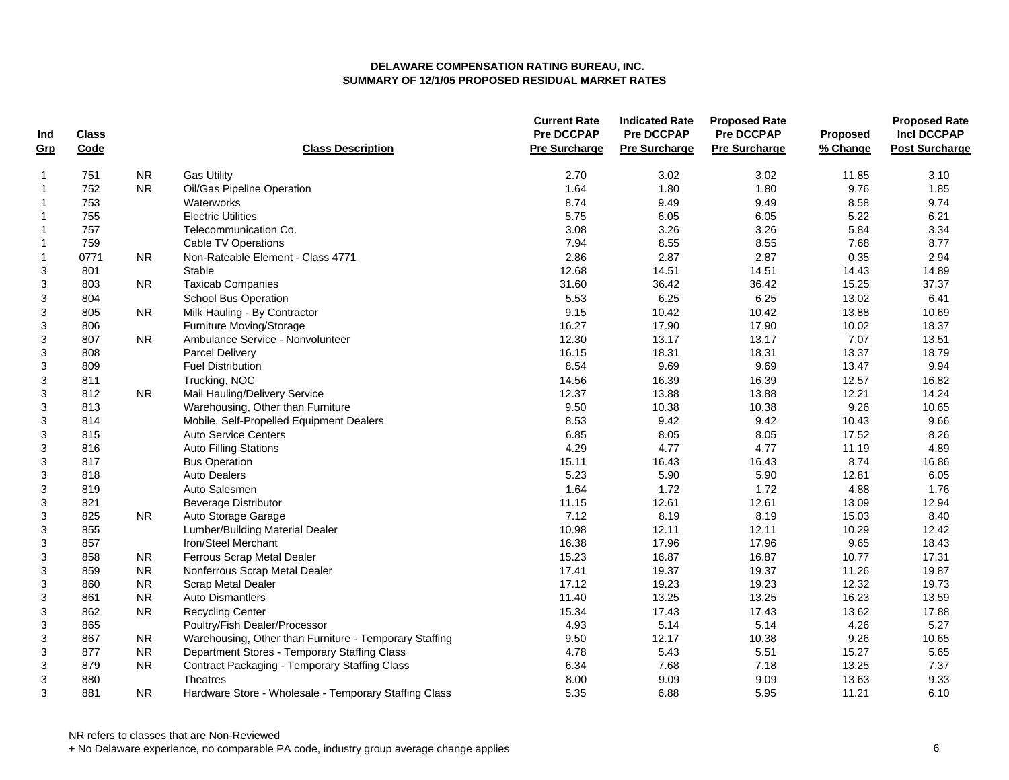| Ind            | <b>Class</b> |            |                                                        | <b>Current Rate</b><br><b>Pre DCCPAP</b> | <b>Indicated Rate</b><br><b>Pre DCCPAP</b> | <b>Proposed Rate</b><br>Pre DCCPAP | <b>Proposed</b> | <b>Proposed Rate</b><br><b>Incl DCCPAP</b> |
|----------------|--------------|------------|--------------------------------------------------------|------------------------------------------|--------------------------------------------|------------------------------------|-----------------|--------------------------------------------|
| Grp            | Code         |            | <b>Class Description</b>                               | <b>Pre Surcharge</b>                     | <b>Pre Surcharge</b>                       | <b>Pre Surcharge</b>               | % Change        | <b>Post Surcharge</b>                      |
| $\mathbf{1}$   | 751          | <b>NR</b>  | <b>Gas Utility</b>                                     | 2.70                                     | 3.02                                       | 3.02                               | 11.85           | 3.10                                       |
| $\mathbf{1}$   | 752          | <b>NR</b>  | Oil/Gas Pipeline Operation                             | 1.64                                     | 1.80                                       | 1.80                               | 9.76            | 1.85                                       |
| $\mathbf{1}$   | 753          |            | Waterworks                                             | 8.74                                     | 9.49                                       | 9.49                               | 8.58            | 9.74                                       |
| $\mathbf{1}$   | 755          |            | <b>Electric Utilities</b>                              | 5.75                                     | 6.05                                       | 6.05                               | 5.22            | 6.21                                       |
| $\overline{1}$ | 757          |            | Telecommunication Co.                                  | 3.08                                     | 3.26                                       | 3.26                               | 5.84            | 3.34                                       |
| $\mathbf{1}$   | 759          |            | Cable TV Operations                                    | 7.94                                     | 8.55                                       | 8.55                               | 7.68            | 8.77                                       |
| $\mathbf{1}$   | 0771         | NR.        | Non-Rateable Element - Class 4771                      | 2.86                                     | 2.87                                       | 2.87                               | 0.35            | 2.94                                       |
| 3              | 801          |            | Stable                                                 | 12.68                                    | 14.51                                      | 14.51                              | 14.43           | 14.89                                      |
| 3              | 803          | <b>NR</b>  | <b>Taxicab Companies</b>                               | 31.60                                    | 36.42                                      | 36.42                              | 15.25           | 37.37                                      |
| 3              | 804          |            | <b>School Bus Operation</b>                            | 5.53                                     | 6.25                                       | 6.25                               | 13.02           | 6.41                                       |
| 3              | 805          | <b>NR</b>  | Milk Hauling - By Contractor                           | 9.15                                     | 10.42                                      | 10.42                              | 13.88           | 10.69                                      |
| 3              | 806          |            | Furniture Moving/Storage                               | 16.27                                    | 17.90                                      | 17.90                              | 10.02           | 18.37                                      |
| 3              | 807          | <b>NR</b>  | Ambulance Service - Nonvolunteer                       | 12.30                                    | 13.17                                      | 13.17                              | 7.07            | 13.51                                      |
| 3              | 808          |            | <b>Parcel Delivery</b>                                 | 16.15                                    | 18.31                                      | 18.31                              | 13.37           | 18.79                                      |
| 3              | 809          |            | <b>Fuel Distribution</b>                               | 8.54                                     | 9.69                                       | 9.69                               | 13.47           | 9.94                                       |
| 3              | 811          |            | Trucking, NOC                                          | 14.56                                    | 16.39                                      | 16.39                              | 12.57           | 16.82                                      |
| 3              | 812          | <b>NR</b>  | Mail Hauling/Delivery Service                          | 12.37                                    | 13.88                                      | 13.88                              | 12.21           | 14.24                                      |
| 3              | 813          |            | Warehousing, Other than Furniture                      | 9.50                                     | 10.38                                      | 10.38                              | 9.26            | 10.65                                      |
| 3              | 814          |            | Mobile, Self-Propelled Equipment Dealers               | 8.53                                     | 9.42                                       | 9.42                               | 10.43           | 9.66                                       |
| 3              | 815          |            | <b>Auto Service Centers</b>                            | 6.85                                     | 8.05                                       | 8.05                               | 17.52           | 8.26                                       |
| 3              | 816          |            | <b>Auto Filling Stations</b>                           | 4.29                                     | 4.77                                       | 4.77                               | 11.19           | 4.89                                       |
| 3              | 817          |            | <b>Bus Operation</b>                                   | 15.11                                    | 16.43                                      | 16.43                              | 8.74            | 16.86                                      |
| 3              | 818          |            | <b>Auto Dealers</b>                                    | 5.23                                     | 5.90                                       | 5.90                               | 12.81           | 6.05                                       |
| 3              | 819          |            | Auto Salesmen                                          | 1.64                                     | 1.72                                       | 1.72                               | 4.88            | 1.76                                       |
| 3              | 821          |            | <b>Beverage Distributor</b>                            | 11.15                                    | 12.61                                      | 12.61                              | 13.09           | 12.94                                      |
| 3              | 825          | NR.        | Auto Storage Garage                                    | 7.12                                     | 8.19                                       | 8.19                               | 15.03           | 8.40                                       |
| 3              | 855          |            | Lumber/Building Material Dealer                        | 10.98                                    | 12.11                                      | 12.11                              | 10.29           | 12.42                                      |
| 3              | 857          |            | Iron/Steel Merchant                                    | 16.38                                    | 17.96                                      | 17.96                              | 9.65            | 18.43                                      |
| 3              | 858          | <b>NR</b>  | Ferrous Scrap Metal Dealer                             | 15.23                                    | 16.87                                      | 16.87                              | 10.77           | 17.31                                      |
| 3              | 859          | ${\sf NR}$ | Nonferrous Scrap Metal Dealer                          | 17.41                                    | 19.37                                      | 19.37                              | 11.26           | 19.87                                      |
| 3              | 860          | <b>NR</b>  | Scrap Metal Dealer                                     | 17.12                                    | 19.23                                      | 19.23                              | 12.32           | 19.73                                      |
| 3              | 861          | <b>NR</b>  | <b>Auto Dismantlers</b>                                | 11.40                                    | 13.25                                      | 13.25                              | 16.23           | 13.59                                      |
| 3              | 862          | ${\sf NR}$ | <b>Recycling Center</b>                                | 15.34                                    | 17.43                                      | 17.43                              | 13.62           | 17.88                                      |
| 3              | 865          |            | Poultry/Fish Dealer/Processor                          | 4.93                                     | 5.14                                       | 5.14                               | 4.26            | 5.27                                       |
| 3              | 867          | <b>NR</b>  | Warehousing, Other than Furniture - Temporary Staffing | 9.50                                     | 12.17                                      | 10.38                              | 9.26            | 10.65                                      |
| 3              | 877          | <b>NR</b>  | Department Stores - Temporary Staffing Class           | 4.78                                     | 5.43                                       | 5.51                               | 15.27           | 5.65                                       |
| 3              | 879          | NR.        | <b>Contract Packaging - Temporary Staffing Class</b>   | 6.34                                     | 7.68                                       | 7.18                               | 13.25           | 7.37                                       |
| 3              | 880          |            | Theatres                                               | 8.00                                     | 9.09                                       | 9.09                               | 13.63           | 9.33                                       |
| 3              | 881          | <b>NR</b>  | Hardware Store - Wholesale - Temporary Staffing Class  | 5.35                                     | 6.88                                       | 5.95                               | 11.21           | 6.10                                       |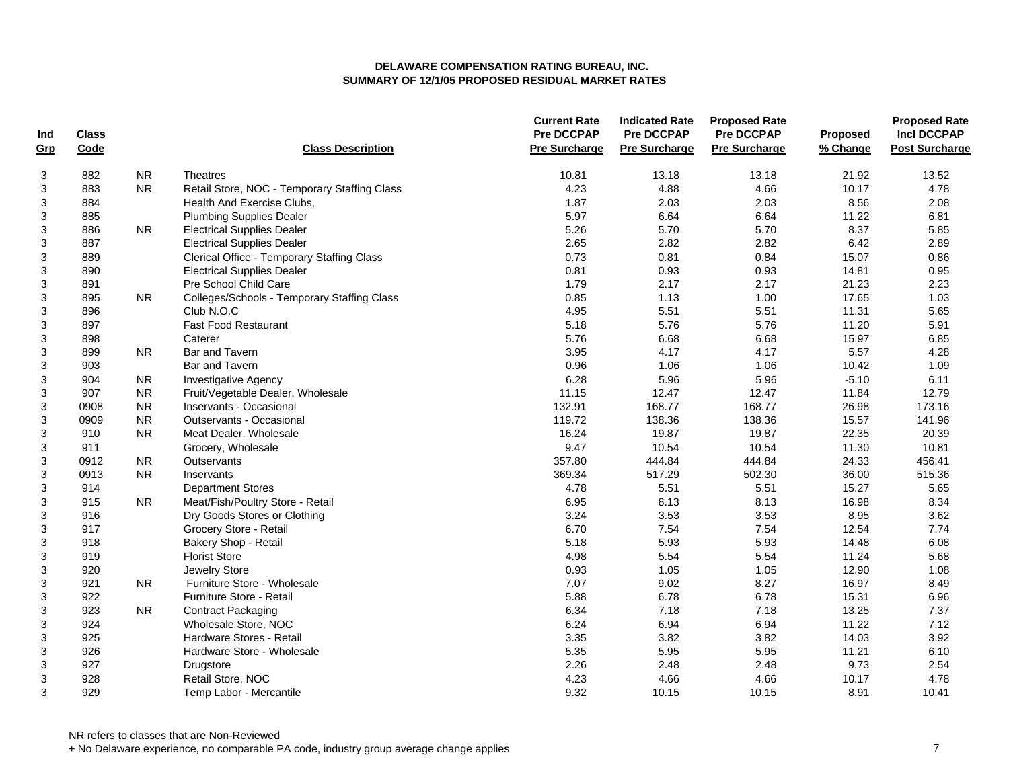| Ind | <b>Class</b> |                |                                              | <b>Current Rate</b><br><b>Pre DCCPAP</b> | <b>Indicated Rate</b><br><b>Pre DCCPAP</b> | <b>Proposed Rate</b><br>Pre DCCPAP | Proposed | <b>Proposed Rate</b><br><b>Incl DCCPAP</b> |
|-----|--------------|----------------|----------------------------------------------|------------------------------------------|--------------------------------------------|------------------------------------|----------|--------------------------------------------|
| Grp | Code         |                | <b>Class Description</b>                     | <b>Pre Surcharge</b>                     | <b>Pre Surcharge</b>                       | <b>Pre Surcharge</b>               | % Change | <b>Post Surcharge</b>                      |
| 3   | 882          | <b>NR</b>      | <b>Theatres</b>                              | 10.81                                    | 13.18                                      | 13.18                              | 21.92    | 13.52                                      |
| 3   | 883          | <b>NR</b>      | Retail Store, NOC - Temporary Staffing Class | 4.23                                     | 4.88                                       | 4.66                               | 10.17    | 4.78                                       |
| 3   | 884          |                | Health And Exercise Clubs,                   | 1.87                                     | 2.03                                       | 2.03                               | 8.56     | 2.08                                       |
| 3   | 885          |                | <b>Plumbing Supplies Dealer</b>              | 5.97                                     | 6.64                                       | 6.64                               | 11.22    | 6.81                                       |
| 3   | 886          | N <sub>R</sub> | <b>Electrical Supplies Dealer</b>            | 5.26                                     | 5.70                                       | 5.70                               | 8.37     | 5.85                                       |
| 3   | 887          |                | <b>Electrical Supplies Dealer</b>            | 2.65                                     | 2.82                                       | 2.82                               | 6.42     | 2.89                                       |
| 3   | 889          |                | Clerical Office - Temporary Staffing Class   | 0.73                                     | 0.81                                       | 0.84                               | 15.07    | 0.86                                       |
| 3   | 890          |                | <b>Electrical Supplies Dealer</b>            | 0.81                                     | 0.93                                       | 0.93                               | 14.81    | 0.95                                       |
| 3   | 891          |                | Pre School Child Care                        | 1.79                                     | 2.17                                       | 2.17                               | 21.23    | 2.23                                       |
| 3   | 895          | N <sub>R</sub> | Colleges/Schools - Temporary Staffing Class  | 0.85                                     | 1.13                                       | 1.00                               | 17.65    | 1.03                                       |
| 3   | 896          |                | Club N.O.C                                   | 4.95                                     | 5.51                                       | 5.51                               | 11.31    | 5.65                                       |
| 3   | 897          |                | <b>Fast Food Restaurant</b>                  | 5.18                                     | 5.76                                       | 5.76                               | 11.20    | 5.91                                       |
| 3   | 898          |                | Caterer                                      | 5.76                                     | 6.68                                       | 6.68                               | 15.97    | 6.85                                       |
| 3   | 899          | <b>NR</b>      | Bar and Tavern                               | 3.95                                     | 4.17                                       | 4.17                               | 5.57     | 4.28                                       |
| 3   | 903          |                | Bar and Tavern                               | 0.96                                     | 1.06                                       | 1.06                               | 10.42    | 1.09                                       |
| 3   | 904          | <b>NR</b>      | <b>Investigative Agency</b>                  | 6.28                                     | 5.96                                       | 5.96                               | $-5.10$  | 6.11                                       |
| 3   | 907          | <b>NR</b>      | Fruit/Vegetable Dealer, Wholesale            | 11.15                                    | 12.47                                      | 12.47                              | 11.84    | 12.79                                      |
| 3   | 0908         | <b>NR</b>      | Inservants - Occasional                      | 132.91                                   | 168.77                                     | 168.77                             | 26.98    | 173.16                                     |
| 3   | 0909         | <b>NR</b>      | Outservants - Occasional                     | 119.72                                   | 138.36                                     | 138.36                             | 15.57    | 141.96                                     |
| 3   | 910          | <b>NR</b>      | Meat Dealer, Wholesale                       | 16.24                                    | 19.87                                      | 19.87                              | 22.35    | 20.39                                      |
| 3   | 911          |                | Grocery, Wholesale                           | 9.47                                     | 10.54                                      | 10.54                              | 11.30    | 10.81                                      |
| 3   | 0912         | <b>NR</b>      | Outservants                                  | 357.80                                   | 444.84                                     | 444.84                             | 24.33    | 456.41                                     |
| 3   | 0913         | <b>NR</b>      | Inservants                                   | 369.34                                   | 517.29                                     | 502.30                             | 36.00    | 515.36                                     |
| 3   | 914          |                | <b>Department Stores</b>                     | 4.78                                     | 5.51                                       | 5.51                               | 15.27    | 5.65                                       |
| 3   | 915          | <b>NR</b>      | Meat/Fish/Poultry Store - Retail             | 6.95                                     | 8.13                                       | 8.13                               | 16.98    | 8.34                                       |
| 3   | 916          |                | Dry Goods Stores or Clothing                 | 3.24                                     | 3.53                                       | 3.53                               | 8.95     | 3.62                                       |
| 3   | 917          |                | Grocery Store - Retail                       | 6.70                                     | 7.54                                       | 7.54                               | 12.54    | 7.74                                       |
| 3   | 918          |                | Bakery Shop - Retail                         | 5.18                                     | 5.93                                       | 5.93                               | 14.48    | 6.08                                       |
| 3   | 919          |                | <b>Florist Store</b>                         | 4.98                                     | 5.54                                       | 5.54                               | 11.24    | 5.68                                       |
| 3   | 920          |                | Jewelry Store                                | 0.93                                     | 1.05                                       | 1.05                               | 12.90    | 1.08                                       |
| 3   | 921          | <b>NR</b>      | Furniture Store - Wholesale                  | 7.07                                     | 9.02                                       | 8.27                               | 16.97    | 8.49                                       |
| 3   | 922          |                | Furniture Store - Retail                     | 5.88                                     | 6.78                                       | 6.78                               | 15.31    | 6.96                                       |
| 3   | 923          | NR.            | <b>Contract Packaging</b>                    | 6.34                                     | 7.18                                       | 7.18                               | 13.25    | 7.37                                       |
| 3   | 924          |                | Wholesale Store, NOC                         | 6.24                                     | 6.94                                       | 6.94                               | 11.22    | 7.12                                       |
| 3   | 925          |                | Hardware Stores - Retail                     | 3.35                                     | 3.82                                       | 3.82                               | 14.03    | 3.92                                       |
| 3   | 926          |                | Hardware Store - Wholesale                   | 5.35                                     | 5.95                                       | 5.95                               | 11.21    | 6.10                                       |
| 3   | 927          |                | Drugstore                                    | 2.26                                     | 2.48                                       | 2.48                               | 9.73     | 2.54                                       |
| 3   | 928          |                | Retail Store, NOC                            | 4.23                                     | 4.66                                       | 4.66                               | 10.17    | 4.78                                       |
| 3   | 929          |                | Temp Labor - Mercantile                      | 9.32                                     | 10.15                                      | 10.15                              | 8.91     | 10.41                                      |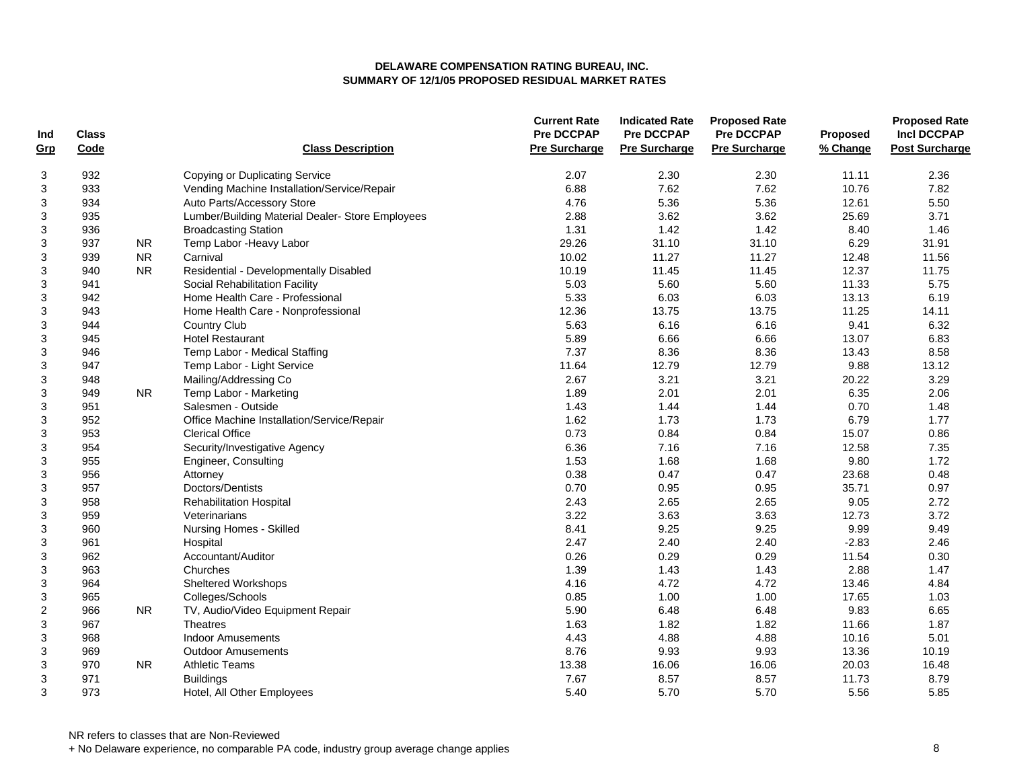| Ind            | <b>Class</b> |           |                                                  | <b>Current Rate</b><br><b>Pre DCCPAP</b> | <b>Indicated Rate</b><br><b>Pre DCCPAP</b> | <b>Proposed Rate</b><br>Pre DCCPAP | Proposed | <b>Proposed Rate</b><br><b>Incl DCCPAP</b> |
|----------------|--------------|-----------|--------------------------------------------------|------------------------------------------|--------------------------------------------|------------------------------------|----------|--------------------------------------------|
| Grp            | Code         |           | <b>Class Description</b>                         | <b>Pre Surcharge</b>                     | <b>Pre Surcharge</b>                       | <b>Pre Surcharge</b>               | % Change | <b>Post Surcharge</b>                      |
| 3              | 932          |           | Copying or Duplicating Service                   | 2.07                                     | 2.30                                       | 2.30                               | 11.11    | 2.36                                       |
| 3              | 933          |           | Vending Machine Installation/Service/Repair      | 6.88                                     | 7.62                                       | 7.62                               | 10.76    | 7.82                                       |
| 3              | 934          |           | Auto Parts/Accessory Store                       | 4.76                                     | 5.36                                       | 5.36                               | 12.61    | 5.50                                       |
| 3              | 935          |           | Lumber/Building Material Dealer- Store Employees | 2.88                                     | 3.62                                       | 3.62                               | 25.69    | 3.71                                       |
| 3              | 936          |           | <b>Broadcasting Station</b>                      | 1.31                                     | 1.42                                       | 1.42                               | 8.40     | 1.46                                       |
| 3              | 937          | <b>NR</b> | Temp Labor - Heavy Labor                         | 29.26                                    | 31.10                                      | 31.10                              | 6.29     | 31.91                                      |
| 3              | 939          | <b>NR</b> | Carnival                                         | 10.02                                    | 11.27                                      | 11.27                              | 12.48    | 11.56                                      |
| 3              | 940          | <b>NR</b> | Residential - Developmentally Disabled           | 10.19                                    | 11.45                                      | 11.45                              | 12.37    | 11.75                                      |
| 3              | 941          |           | Social Rehabilitation Facility                   | 5.03                                     | 5.60                                       | 5.60                               | 11.33    | 5.75                                       |
| 3              | 942          |           | Home Health Care - Professional                  | 5.33                                     | 6.03                                       | 6.03                               | 13.13    | 6.19                                       |
| 3              | 943          |           | Home Health Care - Nonprofessional               | 12.36                                    | 13.75                                      | 13.75                              | 11.25    | 14.11                                      |
| 3              | 944          |           | <b>Country Club</b>                              | 5.63                                     | 6.16                                       | 6.16                               | 9.41     | 6.32                                       |
| 3              | 945          |           | <b>Hotel Restaurant</b>                          | 5.89                                     | 6.66                                       | 6.66                               | 13.07    | 6.83                                       |
| 3              | 946          |           | Temp Labor - Medical Staffing                    | 7.37                                     | 8.36                                       | 8.36                               | 13.43    | 8.58                                       |
| 3              | 947          |           | Temp Labor - Light Service                       | 11.64                                    | 12.79                                      | 12.79                              | 9.88     | 13.12                                      |
| 3              | 948          |           | Mailing/Addressing Co                            | 2.67                                     | 3.21                                       | 3.21                               | 20.22    | 3.29                                       |
| 3              | 949          | NR.       | Temp Labor - Marketing                           | 1.89                                     | 2.01                                       | 2.01                               | 6.35     | 2.06                                       |
| 3              | 951          |           | Salesmen - Outside                               | 1.43                                     | 1.44                                       | 1.44                               | 0.70     | 1.48                                       |
| 3              | 952          |           | Office Machine Installation/Service/Repair       | 1.62                                     | 1.73                                       | 1.73                               | 6.79     | 1.77                                       |
| 3              | 953          |           | <b>Clerical Office</b>                           | 0.73                                     | 0.84                                       | 0.84                               | 15.07    | 0.86                                       |
| 3              | 954          |           | Security/Investigative Agency                    | 6.36                                     | 7.16                                       | 7.16                               | 12.58    | 7.35                                       |
| 3              | 955          |           | Engineer, Consulting                             | 1.53                                     | 1.68                                       | 1.68                               | 9.80     | 1.72                                       |
| 3              | 956          |           | Attorney                                         | 0.38                                     | 0.47                                       | 0.47                               | 23.68    | 0.48                                       |
| 3              | 957          |           | Doctors/Dentists                                 | 0.70                                     | 0.95                                       | 0.95                               | 35.71    | 0.97                                       |
| 3              | 958          |           | <b>Rehabilitation Hospital</b>                   | 2.43                                     | 2.65                                       | 2.65                               | 9.05     | 2.72                                       |
| 3              | 959          |           | Veterinarians                                    | 3.22                                     | 3.63                                       | 3.63                               | 12.73    | 3.72                                       |
| 3              | 960          |           | Nursing Homes - Skilled                          | 8.41                                     | 9.25                                       | 9.25                               | 9.99     | 9.49                                       |
| 3              | 961          |           | Hospital                                         | 2.47                                     | 2.40                                       | 2.40                               | $-2.83$  | 2.46                                       |
| 3              | 962          |           | Accountant/Auditor                               | 0.26                                     | 0.29                                       | 0.29                               | 11.54    | 0.30                                       |
| 3              | 963          |           | Churches                                         | 1.39                                     | 1.43                                       | 1.43                               | 2.88     | 1.47                                       |
| 3              | 964          |           | <b>Sheltered Workshops</b>                       | 4.16                                     | 4.72                                       | 4.72                               | 13.46    | 4.84                                       |
| 3              | 965          |           | Colleges/Schools                                 | 0.85                                     | 1.00                                       | 1.00                               | 17.65    | 1.03                                       |
| $\overline{c}$ | 966          | <b>NR</b> | TV, Audio/Video Equipment Repair                 | 5.90                                     | 6.48                                       | 6.48                               | 9.83     | 6.65                                       |
| 3              | 967          |           | <b>Theatres</b>                                  | 1.63                                     | 1.82                                       | 1.82                               | 11.66    | 1.87                                       |
| 3              | 968          |           | <b>Indoor Amusements</b>                         | 4.43                                     | 4.88                                       | 4.88                               | 10.16    | 5.01                                       |
| 3              | 969          |           | <b>Outdoor Amusements</b>                        | 8.76                                     | 9.93                                       | 9.93                               | 13.36    | 10.19                                      |
| 3              | 970          | NR.       | <b>Athletic Teams</b>                            | 13.38                                    | 16.06                                      | 16.06                              | 20.03    | 16.48                                      |
| 3              | 971          |           | <b>Buildings</b>                                 | 7.67                                     | 8.57                                       | 8.57                               | 11.73    | 8.79                                       |
| 3              | 973          |           | Hotel, All Other Employees                       | 5.40                                     | 5.70                                       | 5.70                               | 5.56     | 5.85                                       |